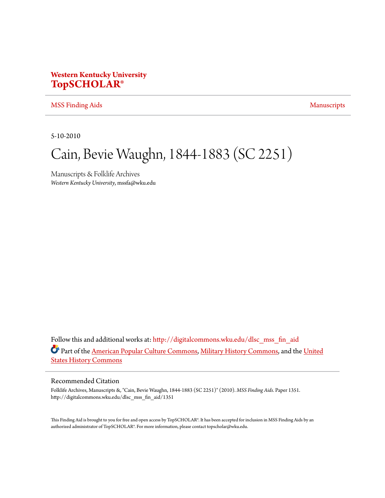## **Western Kentucky University [TopSCHOLAR®](http://digitalcommons.wku.edu?utm_source=digitalcommons.wku.edu%2Fdlsc_mss_fin_aid%2F1351&utm_medium=PDF&utm_campaign=PDFCoverPages)**

#### [MSS Finding Aids](http://digitalcommons.wku.edu/dlsc_mss_fin_aid?utm_source=digitalcommons.wku.edu%2Fdlsc_mss_fin_aid%2F1351&utm_medium=PDF&utm_campaign=PDFCoverPages) [Manuscripts](http://digitalcommons.wku.edu/dlsc_mss?utm_source=digitalcommons.wku.edu%2Fdlsc_mss_fin_aid%2F1351&utm_medium=PDF&utm_campaign=PDFCoverPages) Manuscripts

5-10-2010

# Cain, Bevie Waughn, 1844-1883 (SC 2251)

Manuscripts & Folklife Archives *Western Kentucky University*, mssfa@wku.edu

Follow this and additional works at: [http://digitalcommons.wku.edu/dlsc\\_mss\\_fin\\_aid](http://digitalcommons.wku.edu/dlsc_mss_fin_aid?utm_source=digitalcommons.wku.edu%2Fdlsc_mss_fin_aid%2F1351&utm_medium=PDF&utm_campaign=PDFCoverPages) Part of the [American Popular Culture Commons](http://network.bepress.com/hgg/discipline/443?utm_source=digitalcommons.wku.edu%2Fdlsc_mss_fin_aid%2F1351&utm_medium=PDF&utm_campaign=PDFCoverPages), [Military History Commons](http://network.bepress.com/hgg/discipline/504?utm_source=digitalcommons.wku.edu%2Fdlsc_mss_fin_aid%2F1351&utm_medium=PDF&utm_campaign=PDFCoverPages), and the [United](http://network.bepress.com/hgg/discipline/495?utm_source=digitalcommons.wku.edu%2Fdlsc_mss_fin_aid%2F1351&utm_medium=PDF&utm_campaign=PDFCoverPages) [States History Commons](http://network.bepress.com/hgg/discipline/495?utm_source=digitalcommons.wku.edu%2Fdlsc_mss_fin_aid%2F1351&utm_medium=PDF&utm_campaign=PDFCoverPages)

#### Recommended Citation

Folklife Archives, Manuscripts &, "Cain, Bevie Waughn, 1844-1883 (SC 2251)" (2010). *MSS Finding Aids.* Paper 1351. http://digitalcommons.wku.edu/dlsc\_mss\_fin\_aid/1351

This Finding Aid is brought to you for free and open access by TopSCHOLAR®. It has been accepted for inclusion in MSS Finding Aids by an authorized administrator of TopSCHOLAR®. For more information, please contact topscholar@wku.edu.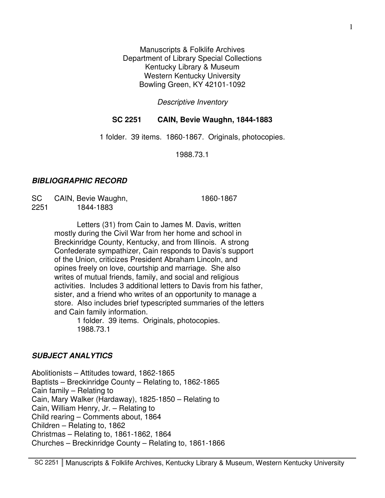Manuscripts & Folklife Archives Department of Library Special Collections Kentucky Library & Museum Western Kentucky University Bowling Green, KY 42101-1092

Descriptive Inventory

## **SC 2251 CAIN, Bevie Waughn, 1844-1883**

1 folder. 39 items. 1860-1867. Originals, photocopies.

1988.73.1

### **BIBLIOGRAPHIC RECORD**

| SC   | CAIN, Bevie Waughn, | 1860-1867 |
|------|---------------------|-----------|
| 2251 | 1844-1883           |           |

 Letters (31) from Cain to James M. Davis, written mostly during the Civil War from her home and school in Breckinridge County, Kentucky, and from Illinois. A strong Confederate sympathizer, Cain responds to Davis's support of the Union, criticizes President Abraham Lincoln, and opines freely on love, courtship and marriage. She also writes of mutual friends, family, and social and religious activities. Includes 3 additional letters to Davis from his father, sister, and a friend who writes of an opportunity to manage a store. Also includes brief typescripted summaries of the letters and Cain family information.

 1 folder. 39 items. Originals, photocopies. 1988.73.1

### **SUBJECT ANALYTICS**

Abolitionists – Attitudes toward, 1862-1865 Baptists – Breckinridge County – Relating to, 1862-1865 Cain family – Relating to Cain, Mary Walker (Hardaway), 1825-1850 – Relating to Cain, William Henry, Jr. – Relating to Child rearing – Comments about, 1864 Children – Relating to, 1862 Christmas – Relating to, 1861-1862, 1864 Churches – Breckinridge County – Relating to, 1861-1866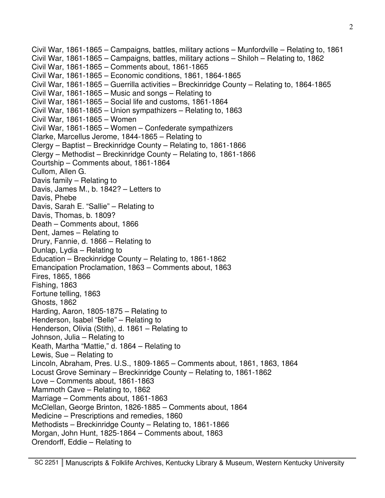Civil War, 1861-1865 – Campaigns, battles, military actions – Munfordville – Relating to, 1861 Civil War, 1861-1865 – Campaigns, battles, military actions – Shiloh – Relating to, 1862 Civil War, 1861-1865 – Comments about, 1861-1865 Civil War, 1861-1865 – Economic conditions, 1861, 1864-1865 Civil War, 1861-1865 – Guerrilla activities – Breckinridge County – Relating to, 1864-1865 Civil War, 1861-1865 – Music and songs – Relating to Civil War, 1861-1865 – Social life and customs, 1861-1864 Civil War, 1861-1865 – Union sympathizers – Relating to, 1863 Civil War, 1861-1865 – Women Civil War, 1861-1865 – Women – Confederate sympathizers Clarke, Marcellus Jerome, 1844-1865 – Relating to Clergy – Baptist – Breckinridge County – Relating to, 1861-1866 Clergy – Methodist – Breckinridge County – Relating to, 1861-1866 Courtship – Comments about, 1861-1864 Cullom, Allen G. Davis family – Relating to Davis, James M., b. 1842? – Letters to Davis, Phebe Davis, Sarah E. "Sallie" – Relating to Davis, Thomas, b. 1809? Death – Comments about, 1866 Dent, James – Relating to Drury, Fannie, d. 1866 – Relating to Dunlap, Lydia – Relating to Education – Breckinridge County – Relating to, 1861-1862 Emancipation Proclamation, 1863 – Comments about, 1863 Fires, 1865, 1866 Fishing, 1863 Fortune telling, 1863 Ghosts, 1862 Harding, Aaron, 1805-1875 – Relating to Henderson, Isabel "Belle" – Relating to Henderson, Olivia (Stith), d. 1861 – Relating to Johnson, Julia – Relating to Keath, Martha "Mattie," d. 1864 – Relating to Lewis, Sue – Relating to Lincoln, Abraham, Pres. U.S., 1809-1865 – Comments about, 1861, 1863, 1864 Locust Grove Seminary – Breckinridge County – Relating to, 1861-1862 Love – Comments about, 1861-1863 Mammoth Cave – Relating to, 1862 Marriage – Comments about, 1861-1863 McClellan, George Brinton, 1826-1885 – Comments about, 1864 Medicine – Prescriptions and remedies, 1860 Methodists – Breckinridge County – Relating to, 1861-1866 Morgan, John Hunt, 1825-1864 – Comments about, 1863 Orendorff, Eddie – Relating to